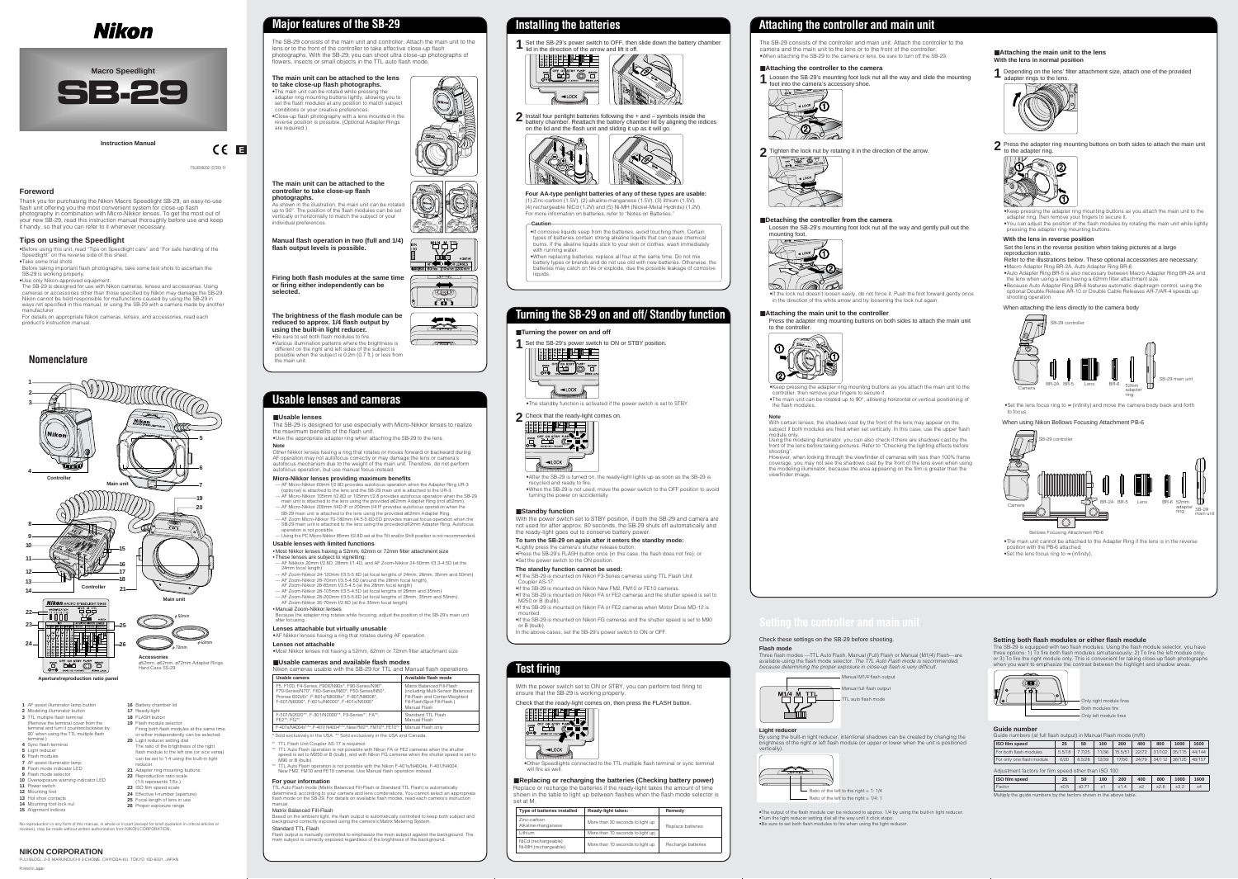**E**

## **Foreword**

Thank you for purchasing the Nikon Macro Speedlight SB-29, an easy-to-use flash unit offering you the most convenient system for close-up flash photography in combination with Micro-Nikkor lenses. To get the most out of your new SB-29, read this instruction manual thoroughly before use and keep it handy, so that you can refer to it whenever necessary.

## **Tips on using the Speedlight**

•Before using this unit, read "Tips on Speedlight care" and "For safe handling of the Speedlight" on the reverse side of this sheet.

- •Take some trial shots. Before taking important flash photographs, take some test shots to ascertain the
- SB-29 is working properly.
- •Use only Nikon-approved equipment.

•If corrosive liquids seep from the batteries, avoid touching them. Certain types of batteries contain strong alkaline liquids that can cause chemical burns. If the alkaline liquids stick to your skin or clothes, wash immediately with running water

The SB-29 is designed for use with Nikon cameras, lenses and accessories. Using cameras or accessories other than those specified by Nikon may damage the SB-29. Nikon cannot be held responsible for malfunctions caused by using the SB-29 in ways not specified in this manual, or using the SB-29 with a camera made by another manufacturer.

For details on appropriate Nikon cameras, lenses, and accessories, read each product's instruction manual.

# Nikon



**Instruction Manual**

•When replacing batteries, replace all four at the same time. Do not mix battery types or brands and do not use old with new batteries. Otherwise, the batteries may catch on fire or explode, due the possible leakage of corrosive liquids.

#### ■**Usable lenses**

The SB-29 is designed for use especially with Micro-Nikkor lenses to realize the maximum benefits of the flash unit. •Use the appropriate adapter ring when attaching the SB-29 to the lens.

### **Note**

Other Nikkor lenses having a ring that rotates or moves forward or backward during AF operation may not autofocus correctly or may damage the lens or camera's autofocus mechanism due to the weight of the main unit. Therefore, do not perform autofocus operation, but use manual focus instead.

#### **Micro-Nikkor lenses providing maximum benefits**

- Coupler AS-17 is require
- \*<sup>2</sup> TTL Auto Flash operation is not possible with Nikon FA or FE2 cameras when the shutter speed is set to M250 or B (bulb), and with Nikon FG cameras when the shutter speed is set to M90 or B (bulb).
- <sup>3</sup> TTL Auto Flash operation is not possible with the Nikon F-401s/N4004s, F-401/N4004, New FM2, FM10 and FE10 cameras. Use Manual flash operation instead.
- AF Micro-Nikkor 60mm f/2.8D provides autofocus operation when the Adapter Ring UR-3 (optional) is attached to the lens and the SB-29 main unit is attached to the UR-3. — AF Micro-Nikkor 105mm f/2.8D or 105mm f/2.8 provides autofocus operation when the SB-29
- main unit is attached to the lens using the provided ø62mm Adapter Ring (not ø52mm). — AF Micro-Nikkor 200mm f/4D IF or 200mm f/4 IF provides autofocus operation when the
- AF Zoom Micro-Nikkor 70-180mm f/4.5-5.6D ED provides manual focus operation when the SB-29 main unit is attached to the lens using the provided ø62mm Adapter Ring. Autofocus operation is not possible.
- - SB-29 main unit is attached to the lens using the provided ø62mm Adapter Ring.
		- Using the PC Micro-Nikkor 85mm f/2.8D set at the Tilt and/or Shift position is not recommended.

2 Install four penlight batteries following the + and - symbols inside the battery chamber. Reattach the battery chamber lid by aligning the indices on the lid and the flash unit and sliding it up as it will go.



### **Usable lenses with limited functions**

• Most Nikkor lenses having a 52mm, 62mm or 72mm filter attachment size •These lenses are subject to vignetting:

- AF Nikkors 20mm f/2.8D, 28mm f/1.4D, and AF Zoom-Nikkor 24-50mm f/3.3-4.5D (at the 24mm focal length)
- AF Zoom-Nikkor 24-120mm f/3.5-5.6D (at focal lengths of 24mm, 28mm, 35mm and 50mm) — AF Zoom-Nikkor 28-70mm f/3.5-4.5D (around the 28mm focal length),
- AF Zoom-Nikkor 28-85mm f/3.5-4.5 (at the 28mm focal length)
- AF Zoom-Nikkor 28-200mm f/3.5-5.6D (at focal lengths of 28mm, 35mm and 50mm),
- AF Zoom-Nikkor 35-70mm f/2.8D (at the 35mm focal length) • Manual Zoom-Nikkor lenses
- 
- AF Zoom-Nikkor 28-105mm f/3.5-4.5D (at focal lengths of 28mm and 35mm)
- 



Because the adapter ring rotates while focusing, adjust the position of the SB-29's main unit after focusing.

#### **Lenses attachable but virtually unusable**

•AF Nikkor lenses having a ring that rotates during AF operation.

### ■**Replacing or recharging the batteries (Checking battery power)** Replace or recharge the batteries if the ready-light takes the amount of time

**Lenses not attachable** •Most Nikkor lenses not having a 52mm, 62mm or 72mm filter attachment size

## ■**Usable cameras and available flash modes**



TTL auto flash mode

# **Usable lenses and cameras**

| Usable camera                                                                                                                                                                                           | Available flash mode                                                                                                                             |  |  |  |
|---------------------------------------------------------------------------------------------------------------------------------------------------------------------------------------------------------|--------------------------------------------------------------------------------------------------------------------------------------------------|--|--|--|
| F5, F100, F4-Series, F90X/N90s*, F90-Series/N90*,<br>F70-Series/N70*, F60-Series/N60*, F50-Series/N50*,<br>Pronea 600i/6i*, F-801s/N8008s*, F-801/N8008*,<br>F-601/N6006*, F-601M/N6000*, F-401x/N5005* | Matrix Balanced Fill-Flash<br>(including Multi-Sensor Balanced<br>Fill-Flash and Center-Weighted<br>Fill-Flash/Spot Fill-Flash.)<br>Manual Flash |  |  |  |
| F-501/N2020**, F-301/N2000**, F3-Series*1, FA*2,<br>FE2 <sup>*2</sup> . FG <sup>*2</sup> .                                                                                                              | Standard TTL Flash<br>Manual Flash                                                                                                               |  |  |  |
| F-401s/N4004s*/*3, F-401/ N4004*/*3, New FM2*3, FM10*3, FE10*3<br>Manual Flash only                                                                                                                     |                                                                                                                                                  |  |  |  |

Press the adapter ring mounting buttons on both sides to attach the main unit to the controller



### ■**Attaching the main unit to the lens With the lens in normal position**

Depending on the lens' filter attachment size, attach one of the provided adapter rings to the lens.



#### **For your information**

TTL Auto Flash mode (Matrix Balanced Fill-Flash or Standard TTL Flash) is automatically determined, according to your camera and lens combinations. You cannot select an appropriate flash mode on the SB-29. For details on available flash modes, read each camera's instruction manual.

### Matrix Balanced Fill-Flash

Based on the ambient light, the flash output is automatically controlled to keep both subject and background correctly exposed using the camera's Matrix Metering System. Standard TTL Flash

Flash output is manually controlled to emphasize the main subject against the background. The main subject is correctly exposed regardless of the brightness of the background.





|  | $\mathbf$<br>$\frac{1}{2}$ |
|--|----------------------------|



# **Installing the batteries**

#### **Caution**

# **Turning the SB-29 on and off/ Standby function**

### ■**Turning the power on and off**

**1** Set the SB-29's power switch to ON or STBY position.



•The standby function is activated if the power switch is set to STBY.



•After the SB-29 is turned on, the ready-light lights up as soon as the SB-29 is

recycled and ready to fire. •When the SB-29 is not used, move the power switch to the OFF position to avoid turning the power on accidentally.

#### ■**Standby function**

Printed in Japan FUJI BLDG., 2-3, MARUNOUCHI 3-CHOME, CHIYODA-KU, TOKYO 100-8331, JAPAN With the power switch set to STBY position, if both the SB-29 and camera are not used for after approx. 80 seconds, the SB-29 shuts off automatically and the ready-light goes out to conserve battery power.

#### **To turn the SB-29 on again after it enters the standby mode:**

•Lightly press the camera's shutter release button; •Press the SB-29's FLASH button once (in this case, the flash does not fire); or •Set the power switch to the ON position.

#### **The standby function cannot be used:**

As shown in the illustration, the main unit can be rotated up to 90°. The position of the flash modules can be set vertically or horizontally to match the subject or your

•If the SB-29 is mounted on Nikon F3-Series cameras using TTL Flash Unit



- •If the SB-29 is mounted on Nikon New FM2, FM10 or FE10 cameras.
- •If the SB-29 is mounted on Nikon FA or FE2 cameras and the shutter speed is set to M250 or B (bulb).
- •If the SB-29 is mounted on Nikon FA or FE2 cameras when Motor Drive MD-12 is
- •If the SB-29 is mounted on Nikon FG cameras and the shutter speed is set to M90

or B (bulb). In the above cases, set the SB-29's power switch to ON or OFF.

# **Test firing**

With the power switch set to ON or STBY, you can perform test firing to ensure that the SB-29 is working properly.

Check that the ready-light comes on, then press the FLASH button.



•Other Speedlights connected to the TTL multiple flash terminal or sync terminal will fire as well.

shown in the table to light up between flashes when the flash mode selector is



# **Attaching the controller and main unit**

The SB-29 consists of the controller and main unit. Attach the controller to the camera and the main unit to the lens or to the front of the controller. •When attaching the SB-29 to the camera or lens, be sure to turn off the SB-29.

### ■**Attaching the controller to the camera**

Loosen the SB-29's mounting foot lock nut all the way and slide the mounting **1** foot into the camera's accessory shoe.



**2** Tighten the lock nut by rotating it in the direction of the arrow.



### ■**Detaching the controller from the camera**

Loosen the SB-29's mounting foot lock nut all the way and gently pull out the mounting foot.



•If the lock nut doesn't loosen easily, do not force it. Push the foot forward gently once in the direction of the white arrow and try loosening the lock nut again.

#### ■**Attaching the main unit to the controller**

•Keep pressing the adapter ring mounting buttons as you attach the main unit to the controller, then remove your fingers to secure it. •The main unit can be rotated up to 90°, allowing horizontal or vertical positioning of the flash modules.

•Keep pressing the adapter ring mounting buttons as you attach the main unit to the adapter ring, then remove your fingers to secure it. •You can adjust the position of the flash modules by rotating the main unit while lightly pressing the adapter ring mounting buttons.

### **With the lens in reverse position**

Set the lens in the reverse position when taking pictures at a large

reproduction ratio.

Refer to the illustrations below. These optional accessories are necessary: •Macro Adapter Ring BR-2A, Auto Adapter Ring BR-6 •Auto Adapter Ring BR-5 is also necessary between Macro Adapter Ring BR-2A and the lens when using a lens having a 62mm filter attachment size. •Because Auto Adapter Ring BR-6 features automatic diaphragm control, using the optional Double Release AR-10 or Double Cable Releases AR-7/AR-4 speeds up

shooting operation.

When attaching the lens directly to the camera body

SB-29 controlle

to focus.

### Check these settings on the SB-29 before shooting.

**Flash mode** Three flash modes —TTL Auto Flash, Manual (Full) Flash or Manual (M1/4) Flash—are available using the flash mode selector. *The TTL Auto Flash mode is recommended, because determining the proper exposure in close-up flash is very difficult.*

**Light reducer**

By using the built-in light reducer, intentional shadows can be created by changing the brightness of the right or left flash module (or upper or lower when the unit is positioned vertically).



Ratio of the left to the right = 1:  $1/4$  $\frac{1}{2}$  Ratio of the left to the right = 1/4: 1

•The output of the flash module can be reduced to approx. 1/4 by using the built-in light reducer. •Turn the light reducer setting dial all the way until it click stops. •Be sure to set both flash modules to fire when using the light reducer.



#### **Setting both flash modules or either flash module**

The SB-29 is equipped with two flash modules. Using the flash module selector, you have three options: 1) To fire both flash modules simultaneously; 2) To fire the left module only; or 3) To fire the right module only. This is convenient for taking close-up flash photographs when you want to emphasize the contrast between the highlight and shadow areas.



| Type of batteries installed                 | <b>Ready-light takes:</b>        | Remedy             |  |
|---------------------------------------------|----------------------------------|--------------------|--|
| Zinc-carbon<br>Alkaline-manganese           | More than 30 seconds to light up | Replace batteries  |  |
| Lithium                                     | More than 10 seconds to light up |                    |  |
| NiCd (rechargeable)<br>Ni-MH (rechargeable) | More than 10 seconds to light up | Recharge batteries |  |
|                                             |                                  |                    |  |

## **NIKON CORPORATION**

- 
- **03** TTL multiple flash terminal (Remove the terminal cover from the terminal and turn it counterclockwise by 90˚ when using the TTL multiple flash
- terminal.) **4** Sync flash terminal
- **5** Light reducer
- **06** Flash modules
- **7** AF assist illuminator lamp **08** Flash mode indicator LED
- **9** Flash mode selector
- **10** Overexposure warning indicator LED **11** Power switch
- **12** Mounting foot
- **13** Hot shoe contacts
- **14** Mounting foot lock nut
- **15** Alignment indices
- **21** Adapter ring mounting buttons **22** Reproduction ratio scale (1:5 represents 1/5x.)

**19** Flash module selector

**20** Light reducer setting dial

Firing both flash modules at the same time or either independently can be selected.

The ratio of the brightness of the right flash module to the left one (or vice versa) can be set to 1:4 using the built-in light



reducer.

- **23** ISO film speed scale **24** Effective f-number (aperture)
- **25** Focal length of lens in use

**26** Proper exposure range

# **Major features of the SB-29**

The SB-29 consists of the main unit and controller. Attach the main unit to the lens or to the front of the controller to take effective close-up flash photographs. With the SB-29, you can shoot ultra close-up photographs of flowers, insects or small objects in the TTL auto flash mode.

#### **The main unit can be attached to the lens to take close-up flash photographs.**

•The main unit can be rotated while pressing the adapter ring mounting buttons lightly, allowing you to set the flash modules at any position to match subject conditions or your creative preferences. •Close-up flash photography with a lens mounted in the reverse position is possible. (Optional Adapter Rings are required.)





 $\sqrt{1-\sqrt{1-\frac{1}{2}}\sqrt{1-\frac{1}{2}}\sqrt{1-\frac{1}{2}}\sqrt{1-\frac{1}{2}}\sqrt{1-\frac{1}{2}}\sqrt{1-\frac{1}{2}}\sqrt{1-\frac{1}{2}}\sqrt{1-\frac{1}{2}}\sqrt{1-\frac{1}{2}}\sqrt{1-\frac{1}{2}}\sqrt{1-\frac{1}{2}}\sqrt{1-\frac{1}{2}}\sqrt{1-\frac{1}{2}}\sqrt{1-\frac{1}{2}}\sqrt{1-\frac{1}{2}}\sqrt{1-\frac{1}{2}}\sqrt{1-\frac{1}{2}}\sqrt{1-\frac{1}{2}}\sqrt{1-\frac{1}{2}}\sqrt{1-\frac{$ 

**The main unit can be attached to the controller to take close-up flash**

| <b>Guide number</b>                                                |        |        |       |            |       |        |        |        |
|--------------------------------------------------------------------|--------|--------|-------|------------|-------|--------|--------|--------|
| Guide numbers (at full flash output) in Manual Flash mode (m/ft)   |        |        |       |            |       |        |        |        |
| <b>ISO film speed</b>                                              | 25     | 50     | 100   | <b>200</b> | 400   | 800    | 1000   | 1600   |
| For both flash modules                                             | 5.5/18 | 7.7/25 | 11/36 | 15.5/51    | 22/72 | 31/102 | 35/115 | 44/144 |
| For only one flash module                                          | 6/20   | 8.5/28 | 12/39 | 17/56      | 24/79 | 34/112 | 38/125 | 48/157 |
| Adjustment factors for film speed other than ISO 100               |        |        |       |            |       |        |        |        |
| <b>ISO film speed</b>                                              | 25     | 50     | 100   | 200        | 400   | 800    | 1000   | 1600   |
| Factor                                                             | x0.5   | x0.71  | x1    | x1.4       | $x^2$ | x2.8   | x3.2   | x4     |
| Multiply the quide numbers by the factors shown in the above table |        |        |       |            |       |        |        |        |



**photographs.**

individual preferences.

**Manual flash operation in two (full and 1/4)**

**flash output levels is possible.**

**The brightness of the flash module can be reduced to approx. 1/4 flash output by**

**using the built-in light reducer.** •Be sure to set both flash modules to fire.

•Various illumination patterns where the brightness is different on the right and left sides of the subject is possible when the subject is 0.2m (0.7 ft.) or less from

the main unit.

**Firing both flash modules at the same time**

**or firing either independently can be**

**selected.** 

**Four AA-type penlight batteries of any of these types are usable:** (1) Zinc-carbon (1.5V), (2) alkaline-manganese (1.5V), (3) lithium (1.5V), (4) rechargeable NiCd (1.2V) and (5) Ni-MH (Nickel-Metal Hydride) (1.2V). For more information on batteries, refer to "Notes on Batteries."

# **Nomenclature**

Only right module fires Both modules fire Only left module fires



Camera





Press the adapter ring mounting buttons on both sides to attach the main unit<br><sup>1</sup> to the adapter ring.



No reproduction in any form of this manual, in whole or in part (except for brief quotation in critical articles or reviews), may be made without written authorization from NIKON CORPORATION.

Multiply the guide numbers by the factors shown in the above table.

T9L0500202 (S720) 11

#### **Note**

With certain lenses, the shadows cast by the front of the lens may appear on the subject if both modules are fired when set vertically. In this case, use the upper flash module only. Using the modeling illuminator, you can also check if there are shadows cast by the

front of the lens before taking pictures. Refer to "Checking the lighting effects before shooting". However, when looking through the viewfinder of cameras with less than 100% frame

coverage, you may not see the shadows cast by the front of the lens even when using the modeling illuminator, because the area appearing on the film is greater than the viewfinder image.